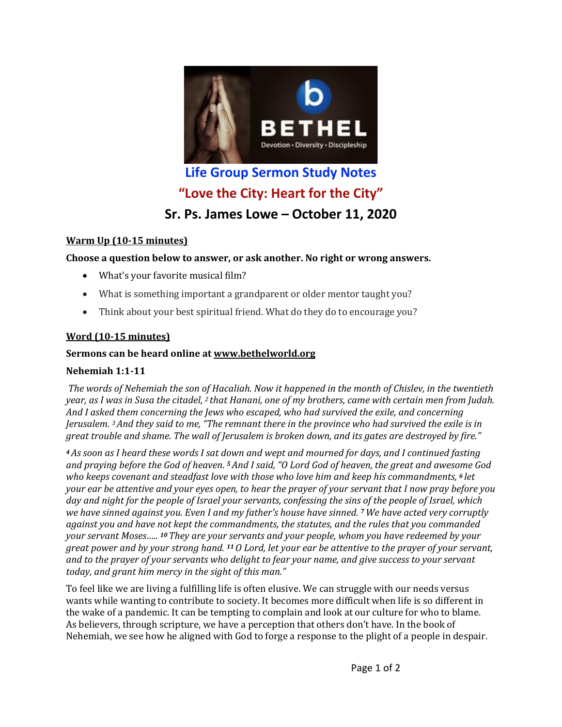

# **Life Group Sermon Study Notes "Love the City: Heart for the City" Sr. Ps. James Lowe – October 11, 2020**

#### **Warm Up (10-15 minutes)**

#### Choose a question below to answer, or ask another. No right or wrong answers.

- What's your favorite musical film?
- What is something important a grandparent or older mentor taught you?
- Think about your best spiritual friend. What do they do to encourage you?

## **Word (10-15 minutes)**

#### Sermons can be heard online at www.bethelworld.org

## **Nehemiah 1:1-11**

*The words of Nehemiah the son of Hacaliah. Now it happened in the month of Chislev, in the twentieth year,* as I was in Susa the citadel, <sup>2</sup> that Hanani, one of my brothers, came with certain men from Judah. And I asked them concerning the Jews who escaped, who had survived the exile, and concerning *Jerusalem.* <sup>3</sup> And they said to me, "The remnant there in the province who had survived the exile is in *great trouble and shame. The wall of Jerusalem is broken down, and its gates are destroyed by fire."* 

*4* As soon as I heard these words I sat down and wept and mourned for days, and I continued fasting *and praying before the God of heaven. <sup>5</sup>And I said, "O Lord God of heaven, the great and awesome God who keeps covenant and steadfast love with those who love him and keep his commandments,*  $6$  *let your ear be attentive and your eyes open, to hear the prayer of your servant that I now pray before you* day and night for the people of Israel your servants, confessing the sins of the people of Israel, which *we have sinned against you. Even I and my father's house have sinned. 7* We have acted very corruptly against you and have not kept the commandments, the statutes, and the rules that you commanded *your servant Moses.....* <sup>10</sup> They are your servants and your people, whom you have redeemed by your *great power and by your strong hand.* <sup>11</sup> O Lord, let your ear be attentive to the prayer of your servant, *and* to the prayer of your servants who delight to fear your name, and give success to your servant today, and grant him mercy in the sight of this man."

To feel like we are living a fulfilling life is often elusive. We can struggle with our needs versus wants while wanting to contribute to society. It becomes more difficult when life is so different in the wake of a pandemic. It can be tempting to complain and look at our culture for who to blame. As believers, through scripture, we have a perception that others don't have. In the book of Nehemiah, we see how he aligned with God to forge a response to the plight of a people in despair.